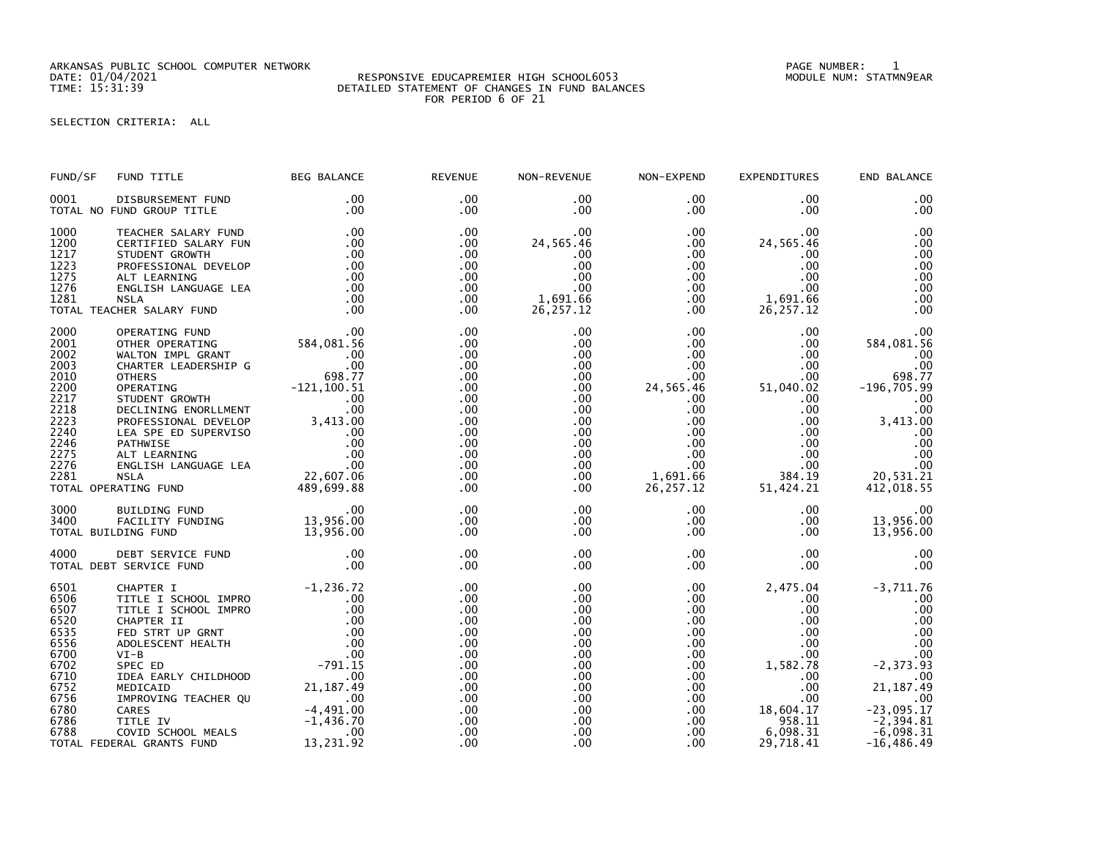ARKANSAS PUBLIC SCHOOL COMPUTER NETWORK PAGE NUMBER: 1

## DATE: 01/04/2021 RESPONSIVE EDUCAPREMIER HIGH SCHOOL6053 MODULE NUM: STATMN9EAR TIME: 15:31:39 DETAILED STATEMENT OF CHANGES IN FUND BALANCES FOR PERIOD 6 OF 21

SELECTION CRITERIA: ALL

| FUND/SF                                                                                                      | FUND TITLE                                                                                                                                                                                                                                                                       | <b>BEG BALANCE</b>                                   | <b>REVENUE</b>                                                                                             | NON-REVENUE                                                                                                                               | NON-EXPEND                                                                                                                                                       | EXPENDITURES                                                                                                                                            | END BALANCE                                                                                                                                                    |
|--------------------------------------------------------------------------------------------------------------|----------------------------------------------------------------------------------------------------------------------------------------------------------------------------------------------------------------------------------------------------------------------------------|------------------------------------------------------|------------------------------------------------------------------------------------------------------------|-------------------------------------------------------------------------------------------------------------------------------------------|------------------------------------------------------------------------------------------------------------------------------------------------------------------|---------------------------------------------------------------------------------------------------------------------------------------------------------|----------------------------------------------------------------------------------------------------------------------------------------------------------------|
| 0001                                                                                                         | DISBURSEMENT FUND<br>TOTAL NO FUND GROUP TITLE                                                                                                                                                                                                                                   | $.00 \,$<br>.00                                      | .00<br>$.00 \times$                                                                                        | .00<br>.00                                                                                                                                | $.00 \,$<br>$.00 \,$                                                                                                                                             | .00<br>.00                                                                                                                                              | .00<br>.00                                                                                                                                                     |
| 1000<br>1200<br>1217<br>1223<br>1275<br>1276<br>1281                                                         | TEACHER SALARY FUND<br>CERTIFIED SALARY FUN<br>STUDENT GROWTH<br>PROFESSIONAL DEVELOP<br>ALT LEARNING<br>ENGLISH LANGUAGE LEA<br><b>NSLA</b><br>TOTAL TEACHER SALARY FUND                                                                                                        | .00<br>.00<br>.00<br>.00<br>.00<br>.00<br>.00        | .00<br>.00.<br>.00<br>.00<br>.00<br>.00<br>.00<br>.00                                                      | .00<br>24,565.46<br>.00<br>.00<br>.00<br>.00<br>1,691.66<br>26, 257.12                                                                    | $.00 \,$<br>$.00 \,$<br>$.00 \,$<br>$.00 \,$<br>.00<br>$.00 \,$<br>$.00 \,$<br>$.00 \,$                                                                          | .00<br>24,565.46<br>$.00 \,$<br>.00<br>$.00 \,$<br>.00<br>1,691.66<br>26, 257.12                                                                        | .00<br>.00<br>.00<br>.00<br>.00<br>.00<br>.00<br>.00                                                                                                           |
| 2000<br>2001<br>2002<br>2003<br>2010<br>2200<br>2217<br>2218<br>2223<br>2240<br>2246<br>2275<br>2276<br>2281 | NSLA<br>NSLA<br>CHER SALARY FUND<br>OPERATING FUND<br>OTHER OPERATING<br>WALTON IMPL GRANT<br>OTHER OPERATING<br>CHARTER LEADERSHIP G<br>ON CHARTER LEADERSHIP G<br>ON COTHERS<br>OPERATING<br>OPERATING FUND<br>DECLINING ENGLIGH ANGUAGE LEA<br>ALT LE<br>TOTAL OPERATING FUND | 489,699.88                                           | .00<br>.00<br>.00<br>.00<br>.00<br>.00<br>.00<br>.00<br>.00<br>.00<br>.00<br>.00<br>.00<br>.00<br>.00      | .00<br>.00<br>.00<br>$.00 \,$<br>.00<br>.00<br>.00<br>.00<br>.00<br>.00 <sub>1</sub><br>.00<br>$.00 \,$<br>.00 <sub>1</sub><br>.00<br>.00 | $.00 \,$<br>.00<br>$.00 \,$<br>$.00 \,$<br>.00<br>24,565.46<br>$.00 \,$<br>.00<br>.00<br>$.00 \,$<br>$.00 \,$<br>$.00 \,$<br>$.00 \,$<br>1,691.66<br>26, 257. 12 | .00<br>.00<br>.00<br>.00<br>.00<br>51,040.02<br>.00<br>.00<br>.00<br>.00<br>$.00 \,$<br>$.00 \,$<br>$.00 \,$<br>384.19<br>51,424.21                     | .00<br>584,081.56<br>.00<br>.00<br>698.77<br>$-196,705.99$<br>.00<br>.00<br>3,413.00<br>.00<br>.00<br>.00<br>.00<br>20,531.21<br>412,018.55                    |
| 3000<br>3400                                                                                                 | BUILDING FUND<br>FACILITY FUNDING<br>TOTAL BUILDING FUND                                                                                                                                                                                                                         | $\sim$ .00<br>13,956.00<br>13,956.00                 | .00<br>.00<br>.00                                                                                          | $.00 \,$<br>.00 <sub>1</sub><br>.00                                                                                                       | $.00 \,$<br>.00<br>$.00 \,$                                                                                                                                      | $.00 \,$<br>$.00 \,$<br>$.00 \,$                                                                                                                        | .00<br>13,956.00<br>13,956.00                                                                                                                                  |
| 4000                                                                                                         | DEBT SERVICE FUND<br>TOTAL DEBT SERVICE FUND                                                                                                                                                                                                                                     | .00<br>.00                                           | .00<br>$.00 \,$                                                                                            | .00<br>.00                                                                                                                                | $.00 \,$<br>$.00 \,$                                                                                                                                             | .00<br>.00                                                                                                                                              | .00<br>.00                                                                                                                                                     |
| 6501<br>6506<br>6507<br>6520<br>6535<br>6556<br>6700<br>6702<br>6710<br>6752<br>6756<br>6780<br>6786<br>6788 | CHAPTER I<br>TITLE I SCHOOL IMPRO<br>TITLE I SCHOOL IMPRO<br>CHAPTER II<br>FED STRT UP GRNT<br>ADOLESCENT HEALTH<br>$VI-B$<br>SPEC ED<br>IDEA EARLY CHILDHOOD<br>MEDICAID<br>IMPROVING TEACHER QU<br>CARES<br>TITLE IV<br>COVID SCHOOL MEALS<br>TOTAL FEDERAL GRANTS FUND        | 21,187.49<br>$-4,491.00$<br>$-1,436.70$<br>13,231.92 | .00<br>.00<br>.00<br>.00<br>.00<br>.00<br>.00<br>.00<br>.00<br>.00<br>.00<br>.00<br>.00<br>$.00 \,$<br>.00 | .00<br>.00<br>.00<br>.00<br>.00<br>.00<br>.00<br>.00<br>.00<br>.00<br>.00<br>.00<br>.00<br>.00<br>.00                                     | $.00 \,$<br>.00<br>$.00 \,$<br>.00<br>$.00 \,$<br>$.00 \,$<br>$.00 \,$<br>$.00 \,$<br>.00<br>.00<br>$.00 \,$<br>$.00 \,$<br>.00<br>.00<br>.00                    | 2,475.04<br>.00<br>.00<br>.00<br>$.00 \,$<br>$.00 \,$<br>$.00 \,$<br>1,582.78<br>.00<br>.00<br>$.00 \,$<br>18,604.17<br>958.11<br>6,098.31<br>29,718.41 | $-3,711.76$<br>.00<br>.00<br>.00<br>.00<br>.00<br>.00<br>$-2, 373.93$<br>.00<br>21, 187.49<br>.00<br>$-23,095.17$<br>$-2,394.81$<br>-6.098.31<br>$-16, 486.49$ |